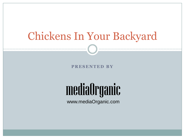## Chickens In Your Backyard

**P R E S E N T E D B Y**

# mediaOrganic

www.mediaOrganic.com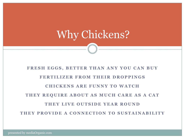# Why Chickens?

### FRESH EGGS, BETTER THAN ANY YOU CAN BUY **F E R T I L I Z E R F R O M T H E I R D R O P P I N G S C H I C K E N S A R E F U N N Y T O W A T C H** THEY REQUIRE ABOUT AS MUCH CARE AS A CAT **THEY LIVE OUTSIDE YEAR ROUND THEY PROVIDE A CONNECTION TO SUSTAINABILITY**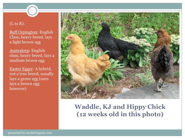#### (L to R):

Buff Orpington: English Class, heavy breed, lays a light brown egg

Australorp: English class, heavy breed, lays a medium brown egg

Easter Egger: A hybrid, not a true breed, usually lays a green egg (ours lays a brown egg however)



### **Waddle, KJ and Hippy Chick (12 weeks old in this photo)**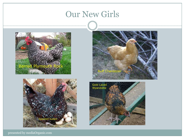## Our New Girls







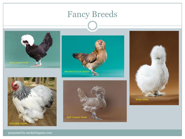## Fancy Breeds











presented by mediaOrganic.com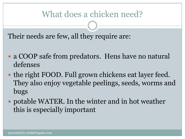## What does a chicken need?

Their needs are few, all they require are:

- a COOP safe from predators. Hens have no natural defenses
- the right FOOD. Full grown chickens eat layer feed. They also enjoy vegetable peelings, seeds, worms and bugs
- potable WATER. In the winter and in hot weather this is especially important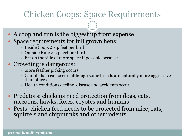## Chicken Coops: Space Requirements

- A coop and run is the biggest up front expense Space requirements for full grown hens:
	- Inside Coop: 2 sq. feet per bird
	- Outside Run: 4 sq. feet per bird
	- $\times$  Err on the side of more space if possible because...

### • Crowding is dangerous:

- $\times$  More feather picking occurs
- $\times$  Cannibalism can occur, although some breeds are naturally more aggressive than others
- Health conditions decline, disease and accidents occur
- Predators: chickens need protection from dogs, cats, raccoons, hawks, foxes, coyotes and humans
- Pests: chicken feed needs to be protected from mice, rats, squirrels and chipmunks and other rodents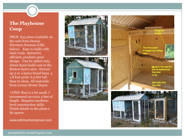**The Playhouse Coop**

PROS: \$35 plans available on the web from Dennis Harrison-Noonan (URL below) Easy to build with basic tools. Attractive, efficient, predator-poof design. Can be added onto. About \$500 build cost in the Boston metro area. Houses up 3 or 4 heavy breed hens. 4 x 8 foot print. 6.5 feet tall. Easy to clean. All materials from Lowes/Home Depot.

CONS: Run is a bit small, I recommend an extra 4 feet of length. Requires mediumlevel construction skills. Finish details in the plans a bit sparse.

www.isthmushandyman.com



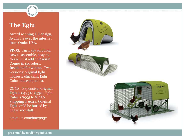### **The Eglu**

Award winning UK design, Available over the internet from Omlet USA.

PROS: Turn key solution, easy to assemble, easy to clean. Just add chickens! Comes in six colors. Insulated for winter. Two versions: original Eglu houses 2 chickens, Eglu Cube houses up to 10.

CONS: Expensive; original Eglu is \$495 to \$530. Eglu Cube is \$995 to \$1250. Shipping is extra. Original Eglu could be buried by a heavy snowfall.

omlet.us.com/hmepage

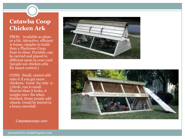### **Catawba Coop Chicken Ark**

PROS: Available as plans or a kit. Attractive, efficient A-frame, simpler to build than a Playhouse Coop. Easy to clean. Portable, can be carried and placed in different spots in your yard (people use chicken arks for insect control.)

CONS: Small, cannot add onto it if you get more chickens. Good for only 2- 3 birds, run is small. Heavier than it looks, it weighs 100+ lbs when finished. Some people add wheels. Could be buried in a heavy snowfall.

Catawbacoops.com



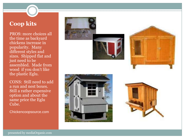**Coop kits**

PROS: more choices all the time as backyard chickens increase in popularity. Many different styles and sizes. Shipped flat and just need to be assembled. Made from wood if you don't like the plastic Eglu.

CONS: Still need to add a run and nest boxes. Still a rather expensive option and about the same price the Eglu Cube.

Chickencoopsource.com





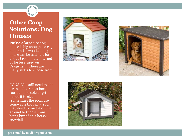### **Other Coop Solutions: Dog Houses**

PROS: A large size dog house is big enough for 2-3 hens and a wooden dog house can be had new for about \$100 on the internet or for less used on Craigslist . There are many styles to choose from.

CONS: You still need to add a run, a door, nest box, roost and be able to get inside it to clean (sometimes the roofs are removable though.) You may need to raise it off the ground to keep it from being buried in a heavy snowfall.





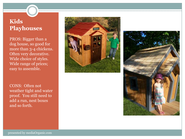### **Kids Playhouses**

PROS: Bigger than a dog house, so good for more than 3-4 chickens. Often very decorative. Wide choice of styles. Wide range of prices; easy to assemble.

CONS: Often not weather tight and water proof. You still need to add a run, nest boxes and so forth.



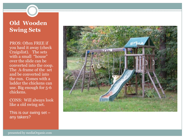### **Old Wooden Swing Sets**

PROS: Often FREE if you haul it away (check Craigslist). The sets with a small "house" over the slide can be converted into the coop. The A-frame of the set and be converted into the run. Comes with a ladder the chickens can use. Big enough for 5-6 chickens.

CONS: Will always look like a old swing set.

This is our swing set – any takers?

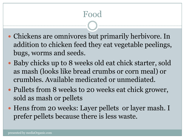## Food

- Chickens are omnivores but primarily herbivore. In addition to chicken feed they eat vegetable peelings, bugs, worms and seeds.
- Baby chicks up to 8 weeks old eat chick starter, sold as mash (looks like bread crumbs or corn meal) or crumbles. Available medicated or unmediated.
- Pullets from 8 weeks to 20 weeks eat chick grower, sold as mash or pellets
- Hens from 20 weeks: Layer pellets or layer mash. I prefer pellets because there is less waste.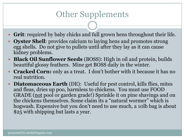## Other Supplements

- **Grit**: required by baby chicks and full grown hens throughout their life.
- **Oyster Shell**: provides calcium to laying hens and promotes strong egg shells. Do not give to pullets until after they lay as it can cause kidney problems.
- **Black Oil Sunflower Seeds** (BOSS): High in oil and protein, builds beautiful glossy feathers. Mine get BOSS daily in the winter.
- **Cracked Corn:** only as a treat. I don't bother with it because it has no real nutrition.
- **Diatomaceous Earth** (DE): Useful for pest control, kills flies, mites and fleas, dries up poo, harmless to chickens. You must use FOOD GRADE (not pool or garden grade!) Sprinkle it on pine shavings and on the chickens themselves. Some claim its a "natural wormer" which is hogwash. Expensive but you don't need to use much, a 10lb bag is about \$25 with shipping but lasts a year.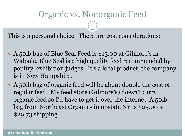## Organic vs. Nonorganic Feed

This is a personal choice. There are cost considerations:

- A 50lb bag of Blue Seal Feed is \$13.00 at Gilmore's in Walpole. Blue Seal is a high quality feed recommended by poultry exhibition judges. It's a local product, the company is in New Hampshire.
- A 50lb bag of organic feed will be about double the cost of regular feed. My feed store (Gilmore's) doesn't carry organic feed so I'd have to get it over the internet. A 50lb bag from Northeast Organics in upstate NY is \$25.00 + \$29.73 shipping.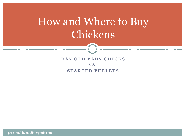## How and Where to Buy Chickens



presented by mediaOrganic.com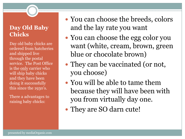### **Day Old Baby Chicks**

Day old baby chicks are ordered from hatcheries and shipped live through the postal service. The Post Office is the only carrier who will ship baby chicks and they have been doing it successfully this since the 1930's.

There a advantages to raising baby chicks:

- You can choose the breeds, colors and the lay rate you want
- You can choose the egg color you want (white, cream, brown, green blue or chocolate brown)
- They can be vaccinated (or not, you choose)
- You will be able to tame them because they will have been with you from virtually day one.
- They are SO darn cute!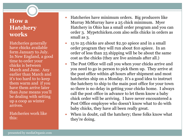### **How a Hatchery works**

Hatcheries generally have chicks available form January to July. In New England, a good time to order your chicks is between March and June. Any earlier than March and it's too hard to to keep them warm and if you have them arrive later than June means you'll be dealing with setting up a coop as winter arrives.

Hatcheries work like this:

- Hatcheries have minimum orders. Big producers like Murray McMurray have a 25 chick minimum. Myer Hatchery in Ohio has a small order program and you can order 3. Mypetchicken.com also sells chicks in orders as small as 3.
- 15 to 25 chicks are about \$2.50 apiece and in a small order program they will run about \$10 apiece. In an order of less than 25 shipping will be be about the same cost as the chicks (they are live animals after all.)
- The Post Office will call you when your chicks arrive and you need to go in person to pick them up. They arrive at the post office within 48 hours after shipment and most hatcheries ship on a Monday. It's a good idea to instruct the hatchery to ship to the main post office for your town so there is no delay in getting your chicks home. I always call the post office in advance to let them know a baby chick order will be arriving. I have never encountered a Post Office employee who doesn't know what to do with baby chicks, they have all been really great.
- When in doubt, call the hatchery; these folks know what they're doing.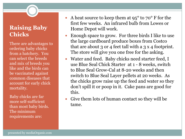### **Raising Baby Chicks**

There are advantages to ordering baby chicks from a hatchery. You can select the breeds and mix of breeds you like and the birds can be vaccinated against common diseases that account for early chick mortality.

Baby chicks are far more self-sufficient than most baby birds. The minimum requirements are:

- A heat source to keep them at 95<sup>°</sup> to 70<sup>°</sup> F for the first few weeks. An infrared bulb from Lowes or Home Depot will work.
- Enough space to grow. For three birds I like to use the large cardboard produce boxes from Costco that are about 3 or 4 feet tall with a 3 x 4 footprint. The store will give you one free for the asking.
- Water and feed. Baby chicks need starter feed, I use Blue Seal Chick Starter at 1 - 8 weeks, switch to Blue Seal Grow-Cal at 8-20 weeks and then switch to Blue Seal Layer pellets at 20 weeks. As the chicks grow raise up the feed and water so they don't spill it or poop in it. Cake pans are good for this.
- Give them lots of human contact so they will be tame.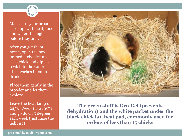Make sure your brooder is set up with heat, food and water the night before they arrive.

After you get them home, open the box, immediately pick up each chick and dip its beak into the water. This teaches them to drink.

Place them gently in the brooder and let them explore.

Leave the heat lamp on 24/7. Week 1 is at  $95^{\circ}$  F and go down 5 degrees each week (just raise the light up)



**The green stuff is Gro-Gel (prevents dehydration) and the white packet under the black chick is a heat pad, commonly used for orders of less than 15 chicks**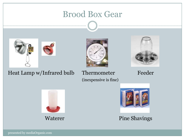## Brood Box Gear







Heat Lamp w/Infrared bulb Thermometer Feeder (inexpensive is fine)







Waterer Pine Shavings

presented by mediaOrganic.com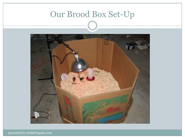

presented by mediaOrganic.com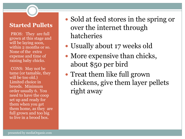#### **Started Pullets**

•PROS: They are full grown at this stage and will be laying soon, within 2 months or so. None of the extra expense and time of raising baby chicks.

•CONS: May not be tame (or tamable, they will be too old.) Limited choice in breeds. Minimum order usually 6. You need to have the coop set up and ready for them when you get them home, as they are full grown and too big to live in a brood box.

- Sold at feed stores in the spring or over the internet through hatcheries
- Usually about 17 weeks old
- More expensive than chicks, about \$50 per bird
- Treat them like full grown chickens, give them layer pellets right away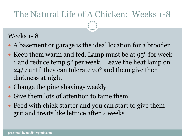## The Natural Life of A Chicken: Weeks 1-8

### Weeks 1- 8

- A basement or garage is the ideal location for a brooder
- Keep them warm and fed. Lamp must be at  $95^{\circ}$  for week 1 and reduce temp 5° per week. Leave the heat lamp on 24/7 until they can tolerate 70° and them give then darkness at night
- Change the pine shavings weekly
- Give them lots of attention to tame them
- Feed with chick starter and you can start to give them grit and treats like lettuce after 2 weeks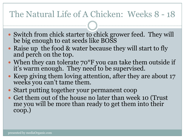## The Natural Life of A Chicken: Weeks 8 - 18

- Switch from chick starter to chick grower feed. They will be big enough to eat seeds like BOSS
- Raise up the food & water because they will start to fly and perch on the top.
- When they can tolerate 70°F you can take them outside if it's warm enough. They need to be supervised.
- Keep giving them loving attention, after they are about 17 weeks you can't tame them.
- Start putting together your permanent coop
- Get them out of the house no later than week 10 (Trust me you will be more than ready to get them into their coop.)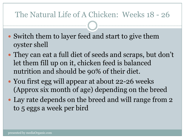### The Natural Life of A Chicken: Weeks 18 - 26

- Switch them to layer feed and start to give them oyster shell
- They can eat a full diet of seeds and scraps, but don't let them fill up on it, chicken feed is balanced nutrition and should be 90% of their diet.
- You first egg will appear at about 22-26 weeks (Approx six month of age) depending on the breed
- Lay rate depends on the breed and will range from 2 to 5 eggs a week per bird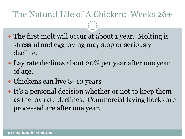## The Natural Life of A Chicken: Weeks 26+

- The first molt will occur at about 1 year. Molting is stressful and egg laying may stop or seriously decline.
- Lay rate declines about 20% per year after one year of age.
- Chickens can live 8-10 years
- It's a personal decision whether or not to keep them as the lay rate declines. Commercial laying flocks are processed are after one year.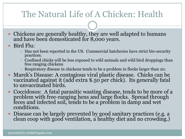## The Natural Life of A Chicken: Health

- Chickens are generally healthy, they are well adapted to humans and have been domesticated for 8,000 years.
- Bird Flu:
	- Has not been reported in the US. Commercial hatcheries have strict bio-security practices.
	- $\times$  Confined chicks will be less exposed to wild animals and wild bird droppings than free ranging chickens
	- Respiratory disease in chickens tends to be a problem in flocks larger than 20.
- Marek's Disease: A contagious viral plastic disease. Chicks can be vaccinated against it (add extra \$.50 per chick). Its generally fatal to unvaccinated birds.
- Coccidosos: A fatal parasitic wasting disease, tends to be more of a problem with free-ranging hens and large flocks. Spread through feces and infected soil, tends to be a problem in damp and wet conditions.
- Disease can be largely prevented by good sanitary practices (e.g. a clean coop with good ventilation, a healthy diet and no crowding.)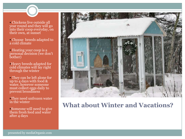Chickens live outside all year round and they will go into their coop everyday, on their own, at sunset

- Choose breeds adapted to a cold climate
- Heating your coop is a personal decision (we don't bother)
- Heavy breeds adapted for cold climates will lay right through the winter
- They can be left alone for up to 4 days with food  $\&$ water, however someone must collect eggs daily to prevent broodiness
- They need unfrozen water in the winter
- Someone will need to give them fresh feed and water after 4 days



**What about Winter and Vacations?**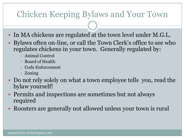## Chicken Keeping Bylaws and Your Town

- In MA chickens are regulated at the town level under M.G.L.
- Bylaws often on-line, or call the Town Clerk's office to see who regulates chickens in your town. Generally regulated by:
	- Animal Control
	- Board of Health
	- Code Enforcement
	- $\times$  Zoning
- Do not rely solely on what a town employee tells you, read the bylaw yourself!
- Permits and inspections are sometimes but not always required
- Roosters are generally not allowed unless your town is rural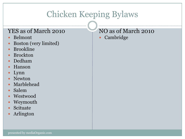## Chicken Keeping Bylaws

### YES as of March 2010

- Belmont
- Boston (very limited)
- Brookline
- Brockton
- Dedham
- Hanson
- Lynn
- Newton
- Marblehead
- Salem
- Westwood
- Weymouth
- Scituate
- Arlington

### NO as of March 2010

Cambridge